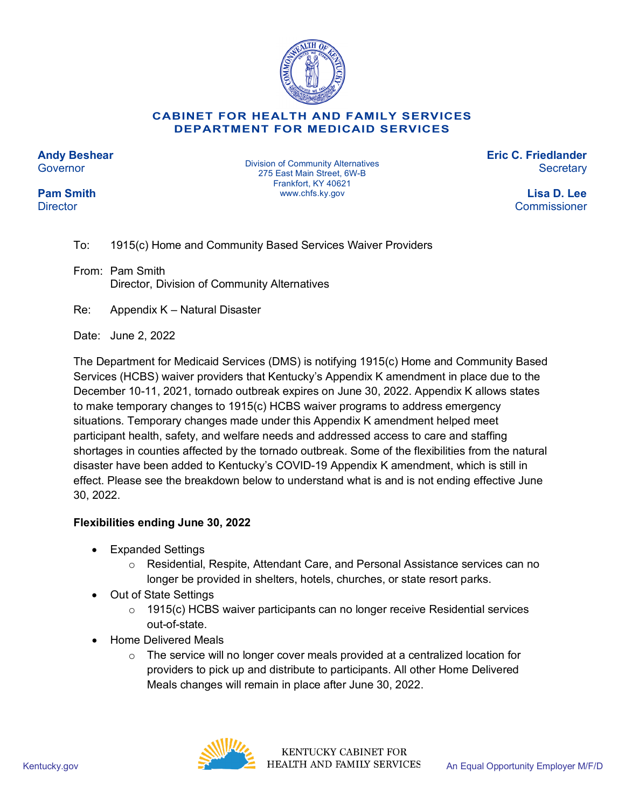

## **CABINET FOR HEALTH AND FAMILY SERVICES DEPARTMENT FOR MEDICAID SERVICES**

**Andy Beshear Governor** 

**Pam Smith Director** 

Division of Community Alternatives 275 East Main Street, 6W-B Frankfort, KY 40621 www.chfs.ky.gov

**Eric C. Friedlander Secretary** 

> **Lisa D. Lee** Commissioner

To: 1915(c) Home and Community Based Services Waiver Providers

From: Pam Smith Director, Division of Community Alternatives

Re: Appendix K – Natural Disaster

Date: June 2, 2022

The Department for Medicaid Services (DMS) is notifying 1915(c) Home and Community Based Services (HCBS) waiver providers that Kentucky's Appendix K amendment in place due to the December 10-11, 2021, tornado outbreak expires on June 30, 2022. Appendix K allows states to make temporary changes to 1915(c) HCBS waiver programs to address emergency situations. Temporary changes made under this Appendix K amendment helped meet participant health, safety, and welfare needs and addressed access to care and staffing shortages in counties affected by the tornado outbreak. Some of the flexibilities from the natural disaster have been added to Kentucky's COVID-19 Appendix K amendment, which is still in effect. Please see the breakdown below to understand what is and is not ending effective June 30, 2022.

## **Flexibilities ending June 30, 2022**

- Expanded Settings
	- o Residential, Respite, Attendant Care, and Personal Assistance services can no longer be provided in shelters, hotels, churches, or state resort parks.
- Out of State Settings
	- $\circ$  1915(c) HCBS waiver participants can no longer receive Residential services out-of-state.
- Home Delivered Meals
	- $\circ$  The service will no longer cover meals provided at a centralized location for providers to pick up and distribute to participants. All other Home Delivered Meals changes will remain in place after June 30, 2022.



**KENTUCKY CABINET FOR** Kentucky.gov **An Equal Opportunity Employer M/F/D** HEALTH AND FAMILY SERVICES An Equal Opportunity Employer M/F/D